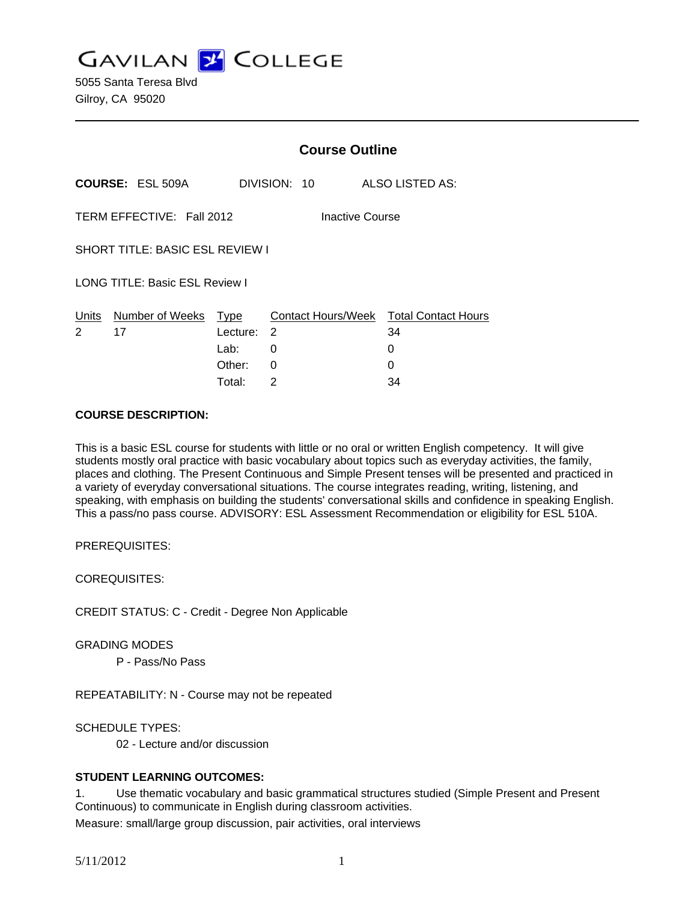**GAVILAN Z COLLEGE** 

5055 Santa Teresa Blvd Gilroy, CA 95020

|                                              |                                       | <b>Course Outline</b>          |              |                                                   |
|----------------------------------------------|---------------------------------------|--------------------------------|--------------|---------------------------------------------------|
| <b>COURSE: ESL 509A</b>                      |                                       |                                | DIVISION: 10 | ALSO LISTED AS:                                   |
| TERM EFFECTIVE: Fall 2012<br>Inactive Course |                                       |                                |              |                                                   |
| <b>SHORT TITLE: BASIC ESL REVIEW I</b>       |                                       |                                |              |                                                   |
|                                              | <b>LONG TITLE: Basic ESL Review I</b> |                                |              |                                                   |
| 2                                            | Units Number of Weeks Type<br>17      | Lecture: 2<br>Lab: L<br>Other: | 0<br>0       | Contact Hours/Week Total Contact Hours<br>34<br>0 |
|                                              |                                       | Total:                         | 2            | 34                                                |

#### **COURSE DESCRIPTION:**

This is a basic ESL course for students with little or no oral or written English competency. It will give students mostly oral practice with basic vocabulary about topics such as everyday activities, the family, places and clothing. The Present Continuous and Simple Present tenses will be presented and practiced in a variety of everyday conversational situations. The course integrates reading, writing, listening, and speaking, with emphasis on building the students' conversational skills and confidence in speaking English. This a pass/no pass course. ADVISORY: ESL Assessment Recommendation or eligibility for ESL 510A.

PREREQUISITES:

COREQUISITES:

CREDIT STATUS: C - Credit - Degree Non Applicable

GRADING MODES

P - Pass/No Pass

REPEATABILITY: N - Course may not be repeated

SCHEDULE TYPES:

02 - Lecture and/or discussion

### **STUDENT LEARNING OUTCOMES:**

1. Use thematic vocabulary and basic grammatical structures studied (Simple Present and Present Continuous) to communicate in English during classroom activities. Measure: small/large group discussion, pair activities, oral interviews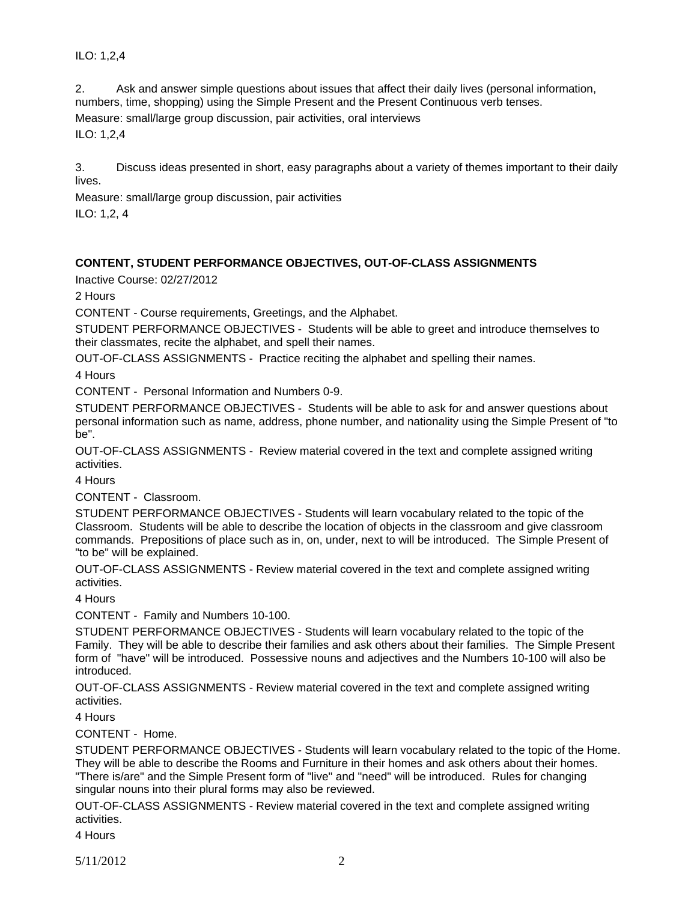ILO: 1,2,4

2. Ask and answer simple questions about issues that affect their daily lives (personal information, numbers, time, shopping) using the Simple Present and the Present Continuous verb tenses.

Measure: small/large group discussion, pair activities, oral interviews

ILO: 1,2,4

3. Discuss ideas presented in short, easy paragraphs about a variety of themes important to their daily lives.

Measure: small/large group discussion, pair activities

ILO: 1,2, 4

# **CONTENT, STUDENT PERFORMANCE OBJECTIVES, OUT-OF-CLASS ASSIGNMENTS**

Inactive Course: 02/27/2012

2 Hours

CONTENT - Course requirements, Greetings, and the Alphabet.

STUDENT PERFORMANCE OBJECTIVES - Students will be able to greet and introduce themselves to their classmates, recite the alphabet, and spell their names.

OUT-OF-CLASS ASSIGNMENTS - Practice reciting the alphabet and spelling their names.

4 Hours

CONTENT - Personal Information and Numbers 0-9.

STUDENT PERFORMANCE OBJECTIVES - Students will be able to ask for and answer questions about personal information such as name, address, phone number, and nationality using the Simple Present of "to be".

OUT-OF-CLASS ASSIGNMENTS - Review material covered in the text and complete assigned writing activities.

4 Hours

CONTENT - Classroom.

STUDENT PERFORMANCE OBJECTIVES - Students will learn vocabulary related to the topic of the Classroom. Students will be able to describe the location of objects in the classroom and give classroom commands. Prepositions of place such as in, on, under, next to will be introduced. The Simple Present of "to be" will be explained.

OUT-OF-CLASS ASSIGNMENTS - Review material covered in the text and complete assigned writing activities.

4 Hours

CONTENT - Family and Numbers 10-100.

STUDENT PERFORMANCE OBJECTIVES - Students will learn vocabulary related to the topic of the Family. They will be able to describe their families and ask others about their families. The Simple Present form of "have" will be introduced. Possessive nouns and adjectives and the Numbers 10-100 will also be introduced.

OUT-OF-CLASS ASSIGNMENTS - Review material covered in the text and complete assigned writing activities.

4 Hours

CONTENT - Home.

STUDENT PERFORMANCE OBJECTIVES - Students will learn vocabulary related to the topic of the Home. They will be able to describe the Rooms and Furniture in their homes and ask others about their homes. "There is/are" and the Simple Present form of "live" and "need" will be introduced. Rules for changing

singular nouns into their plural forms may also be reviewed.

OUT-OF-CLASS ASSIGNMENTS - Review material covered in the text and complete assigned writing activities.

4 Hours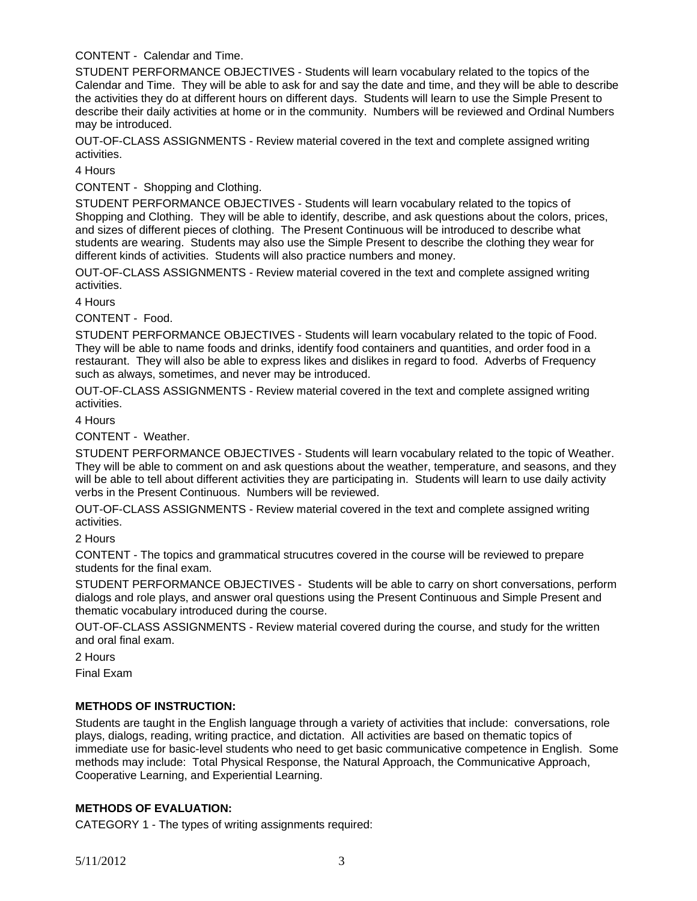CONTENT - Calendar and Time.

STUDENT PERFORMANCE OBJECTIVES - Students will learn vocabulary related to the topics of the Calendar and Time. They will be able to ask for and say the date and time, and they will be able to describe the activities they do at different hours on different days. Students will learn to use the Simple Present to describe their daily activities at home or in the community. Numbers will be reviewed and Ordinal Numbers may be introduced.

OUT-OF-CLASS ASSIGNMENTS - Review material covered in the text and complete assigned writing activities.

4 Hours

CONTENT - Shopping and Clothing.

STUDENT PERFORMANCE OBJECTIVES - Students will learn vocabulary related to the topics of Shopping and Clothing. They will be able to identify, describe, and ask questions about the colors, prices, and sizes of different pieces of clothing. The Present Continuous will be introduced to describe what students are wearing. Students may also use the Simple Present to describe the clothing they wear for different kinds of activities. Students will also practice numbers and money.

OUT-OF-CLASS ASSIGNMENTS - Review material covered in the text and complete assigned writing activities.

4 Hours

CONTENT - Food.

STUDENT PERFORMANCE OBJECTIVES - Students will learn vocabulary related to the topic of Food. They will be able to name foods and drinks, identify food containers and quantities, and order food in a restaurant. They will also be able to express likes and dislikes in regard to food. Adverbs of Frequency such as always, sometimes, and never may be introduced.

OUT-OF-CLASS ASSIGNMENTS - Review material covered in the text and complete assigned writing activities.

4 Hours

CONTENT - Weather.

STUDENT PERFORMANCE OBJECTIVES - Students will learn vocabulary related to the topic of Weather. They will be able to comment on and ask questions about the weather, temperature, and seasons, and they will be able to tell about different activities they are participating in. Students will learn to use daily activity verbs in the Present Continuous. Numbers will be reviewed.

OUT-OF-CLASS ASSIGNMENTS - Review material covered in the text and complete assigned writing activities.

2 Hours

CONTENT - The topics and grammatical strucutres covered in the course will be reviewed to prepare students for the final exam.

STUDENT PERFORMANCE OBJECTIVES - Students will be able to carry on short conversations, perform dialogs and role plays, and answer oral questions using the Present Continuous and Simple Present and thematic vocabulary introduced during the course.

OUT-OF-CLASS ASSIGNMENTS - Review material covered during the course, and study for the written and oral final exam.

2 Hours

Final Exam

# **METHODS OF INSTRUCTION:**

Students are taught in the English language through a variety of activities that include: conversations, role plays, dialogs, reading, writing practice, and dictation. All activities are based on thematic topics of immediate use for basic-level students who need to get basic communicative competence in English. Some methods may include: Total Physical Response, the Natural Approach, the Communicative Approach, Cooperative Learning, and Experiential Learning.

# **METHODS OF EVALUATION:**

CATEGORY 1 - The types of writing assignments required: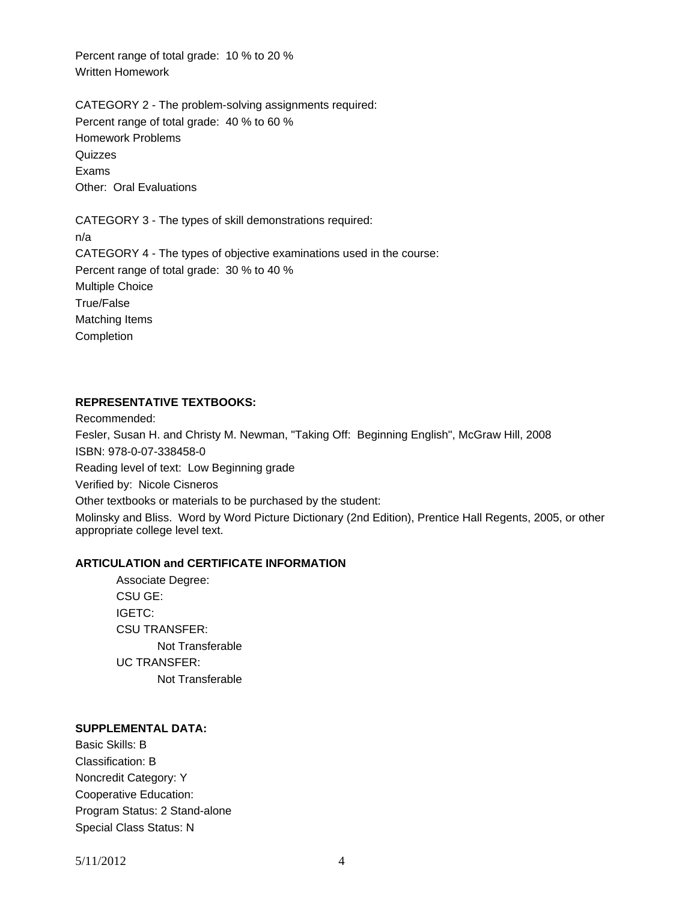Percent range of total grade: 10 % to 20 % Written Homework

CATEGORY 2 - The problem-solving assignments required: Percent range of total grade: 40 % to 60 % Homework Problems Quizzes Exams Other: Oral Evaluations

CATEGORY 3 - The types of skill demonstrations required: n/a CATEGORY 4 - The types of objective examinations used in the course: Percent range of total grade: 30 % to 40 % Multiple Choice True/False Matching Items Completion

### **REPRESENTATIVE TEXTBOOKS:**

Recommended: Fesler, Susan H. and Christy M. Newman, "Taking Off: Beginning English", McGraw Hill, 2008 ISBN: 978-0-07-338458-0 Reading level of text: Low Beginning grade Verified by: Nicole Cisneros Other textbooks or materials to be purchased by the student: Molinsky and Bliss. Word by Word Picture Dictionary (2nd Edition), Prentice Hall Regents, 2005, or other appropriate college level text.

#### **ARTICULATION and CERTIFICATE INFORMATION**

 Associate Degree: CSU GE: IGETC: CSU TRANSFER: Not Transferable UC TRANSFER: Not Transferable

### **SUPPLEMENTAL DATA:**

Basic Skills: B Classification: B Noncredit Category: Y Cooperative Education: Program Status: 2 Stand-alone Special Class Status: N